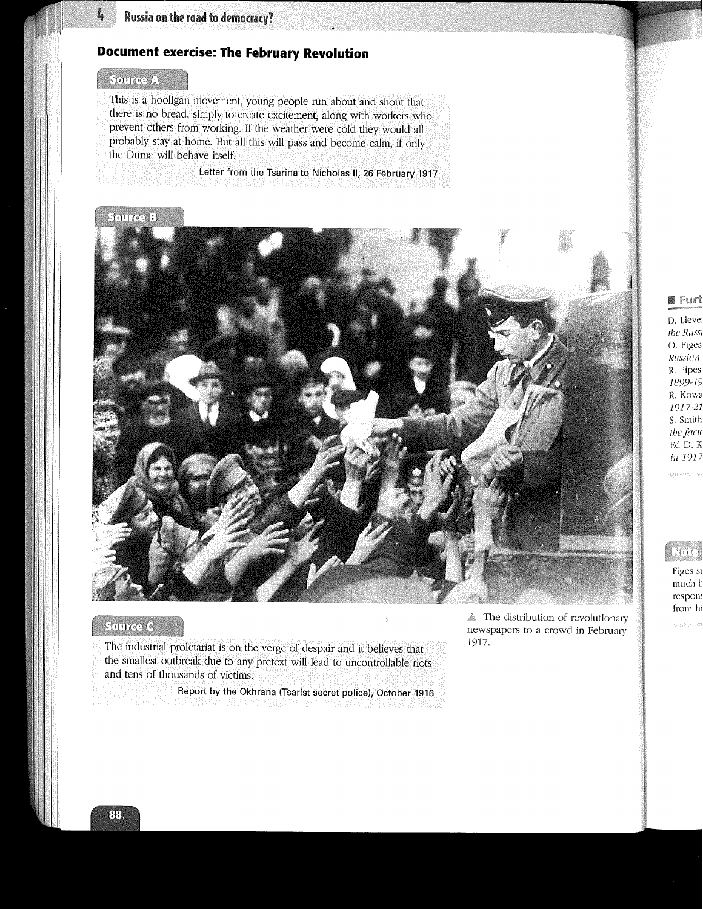# Russia on the road to democracy?

# **Document exercise: The February Revolution**

#### Source A

Ļ

This is a hooligan movement, young people run about and shout that there is no bread, simply to create excitement, along with workers who prevent others from working. If the weather were cold they would all probably stay at home. But all this will pass and become calm, if only the Duma will behave itself.

Letter from the Tsarina to Nicholas II, 26 February 1917

#### **Source B**



## Source C

The industrial proletariat is on the verge of despair and it believes that the smallest outbreak due to any pretext will lead to uncontrollable riots and tens of thousands of victims.

Report by the Okhrana (Tsarist secret police), October 1916

The distribution of revolutionary newspapers to a crowd in February 1917.

# ■ Furt

D. Liever the Russi O. Figes Russian R. Pipes 1899-19 R. Kowa 1917-21 S. Smith the facto Ed D. K in 1917

# Nov

Figes st much h respons from hi